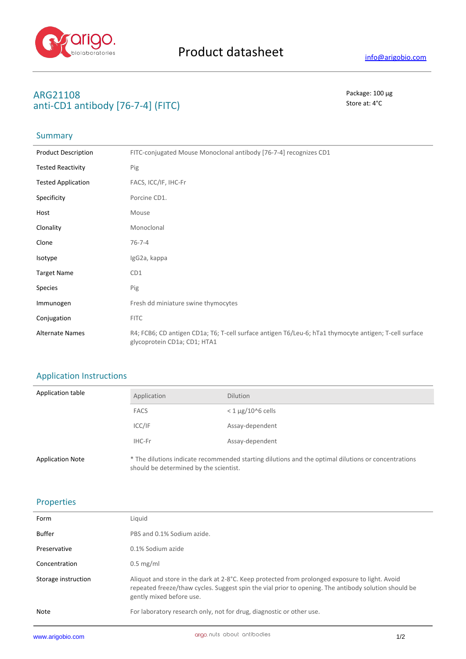

# **ARG21108** Package: 100 μg **anti-CD1 antibody [76-7-4] (FITC)** Store at: 4°C

# **Summary**

| <b>Product Description</b> | FITC-conjugated Mouse Monoclonal antibody [76-7-4] recognizes CD1                                                                      |
|----------------------------|----------------------------------------------------------------------------------------------------------------------------------------|
| <b>Tested Reactivity</b>   | Pig                                                                                                                                    |
| <b>Tested Application</b>  | FACS, ICC/IF, IHC-Fr                                                                                                                   |
| Specificity                | Porcine CD1.                                                                                                                           |
| Host                       | Mouse                                                                                                                                  |
| Clonality                  | Monoclonal                                                                                                                             |
| Clone                      | $76 - 7 - 4$                                                                                                                           |
| Isotype                    | IgG2a, kappa                                                                                                                           |
| <b>Target Name</b>         | CD1                                                                                                                                    |
| <b>Species</b>             | Pig                                                                                                                                    |
| Immunogen                  | Fresh dd miniature swine thymocytes                                                                                                    |
| Conjugation                | <b>FITC</b>                                                                                                                            |
| <b>Alternate Names</b>     | R4; FCB6; CD antigen CD1a; T6; T-cell surface antigen T6/Leu-6; hTa1 thymocyte antigen; T-cell surface<br>glycoprotein CD1a; CD1; HTA1 |

# Application Instructions

| Application table       | Application                            | <b>Dilution</b>                                                                                     |
|-------------------------|----------------------------------------|-----------------------------------------------------------------------------------------------------|
|                         | <b>FACS</b>                            | $<$ 1 $\mu$ g/10^6 cells                                                                            |
|                         | ICC/IF                                 | Assay-dependent                                                                                     |
|                         | IHC-Fr                                 | Assay-dependent                                                                                     |
| <b>Application Note</b> | should be determined by the scientist. | * The dilutions indicate recommended starting dilutions and the optimal dilutions or concentrations |

### Properties

| Form                | Liquid                                                                                                                                                                                                                             |
|---------------------|------------------------------------------------------------------------------------------------------------------------------------------------------------------------------------------------------------------------------------|
| Buffer              | PBS and 0.1% Sodium azide.                                                                                                                                                                                                         |
| Preservative        | 0.1% Sodium azide                                                                                                                                                                                                                  |
| Concentration       | $0.5$ mg/ml                                                                                                                                                                                                                        |
| Storage instruction | Aliquot and store in the dark at 2-8°C. Keep protected from prolonged exposure to light. Avoid<br>repeated freeze/thaw cycles. Suggest spin the vial prior to opening. The antibody solution should be<br>gently mixed before use. |
| <b>Note</b>         | For laboratory research only, not for drug, diagnostic or other use.                                                                                                                                                               |
|                     |                                                                                                                                                                                                                                    |